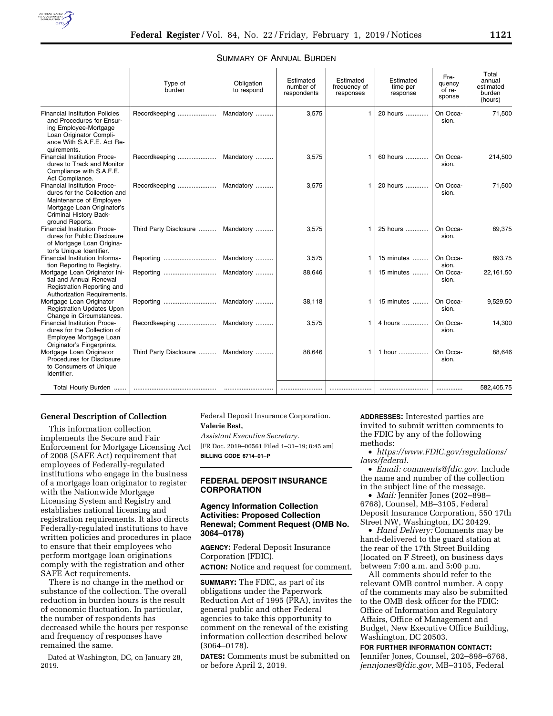|                                                                                                                                                                     | Type of<br>burden      | Obligation<br>to respond | Estimated<br>number of<br>respondents | Estimated<br>frequency of<br>responses | Estimated<br>time per<br>response | Fre-<br>quency<br>of re-<br>sponse | Total<br>annual<br>estimated<br>burden<br>(hours) |
|---------------------------------------------------------------------------------------------------------------------------------------------------------------------|------------------------|--------------------------|---------------------------------------|----------------------------------------|-----------------------------------|------------------------------------|---------------------------------------------------|
| <b>Financial Institution Policies</b><br>and Procedures for Ensur-<br>ing Employee-Mortgage<br>Loan Originator Compli-<br>ance With S.A.F.E. Act Re-<br>quirements. | Recordkeeping          | Mandatory                | 3,575                                 | 1                                      | 20 hours                          | On Occa-<br>sion.                  | 71,500                                            |
| Financial Institution Proce-<br>dures to Track and Monitor<br>Compliance with S.A.F.E.<br>Act Compliance.                                                           | Recordkeeping          | Mandatory                | 3,575                                 | 1                                      | 60 hours                          | On Occa-<br>sion.                  | 214,500                                           |
| Financial Institution Proce-<br>dures for the Collection and<br>Maintenance of Employee<br>Mortgage Loan Originator's<br>Criminal History Back-<br>ground Reports.  | Recordkeeping          | Mandatory                | 3,575                                 | 1                                      | 20 hours                          | On Occa-<br>sion.                  | 71,500                                            |
| Financial Institution Proce-<br>dures for Public Disclosure<br>of Mortgage Loan Origina-<br>tor's Unique Identifier.                                                | Third Party Disclosure | Mandatory                | 3,575                                 | 1                                      | 25 hours                          | On Occa-<br>sion.                  | 89,375                                            |
| Financial Institution Informa-<br>tion Reporting to Registry.                                                                                                       | Reporting              | Mandatory                | 3,575                                 | 1                                      | 15 minutes                        | On Occa-<br>sion.                  | 893.75                                            |
| Mortgage Loan Originator Ini-<br>tial and Annual Renewal<br>Registration Reporting and<br>Authorization Requirements.                                               |                        | Mandatory                | 88,646                                | 1                                      | 15 minutes                        | On Occa-<br>sion.                  | 22,161.50                                         |
| Mortgage Loan Originator<br><b>Registration Updates Upon</b><br>Change in Circumstances.                                                                            |                        | Mandatory                | 38,118                                | 1                                      | 15 minutes                        | On Occa-<br>sion.                  | 9,529.50                                          |
| Financial Institution Proce-<br>dures for the Collection of<br>Employee Mortgage Loan<br>Originator's Fingerprints.                                                 | Recordkeeping          | Mandatory                | 3,575                                 |                                        | 4 hours                           | On Occa-<br>sion.                  | 14,300                                            |
| Mortgage Loan Originator<br>Procedures for Disclosure<br>to Consumers of Unique<br>Identifier.                                                                      | Third Party Disclosure | Mandatory                | 88,646                                | 1                                      | 1 hour                            | On Occa-<br>sion.                  | 88.646                                            |
| Total Hourly Burden                                                                                                                                                 |                        |                          |                                       |                                        |                                   |                                    | 582,405.75                                        |

# SUMMARY OF ANNUAL BURDEN

### **General Description of Collection**

This information collection implements the Secure and Fair Enforcement for Mortgage Licensing Act of 2008 (SAFE Act) requirement that employees of Federally-regulated institutions who engage in the business of a mortgage loan originator to register with the Nationwide Mortgage Licensing System and Registry and establishes national licensing and registration requirements. It also directs Federally-regulated institutions to have written policies and procedures in place to ensure that their employees who perform mortgage loan originations comply with the registration and other SAFE Act requirements.

There is no change in the method or substance of the collection. The overall reduction in burden hours is the result of economic fluctuation. In particular, the number of respondents has decreased while the hours per response and frequency of responses have remained the same.

Dated at Washington, DC, on January 28, 2019.

Federal Deposit Insurance Corporation. **Valerie Best,** 

*Assistant Executive Secretary.*  [FR Doc. 2019–00561 Filed 1–31–19; 8:45 am] **BILLING CODE 6714–01–P** 

# **FEDERAL DEPOSIT INSURANCE CORPORATION**

# **Agency Information Collection Activities: Proposed Collection Renewal; Comment Request (OMB No. 3064–0178)**

**AGENCY:** Federal Deposit Insurance Corporation (FDIC). **ACTION:** Notice and request for comment.

**SUMMARY:** The FDIC, as part of its obligations under the Paperwork Reduction Act of 1995 (PRA), invites the general public and other Federal agencies to take this opportunity to comment on the renewal of the existing information collection described below (3064–0178).

**DATES:** Comments must be submitted on or before April 2, 2019.

**ADDRESSES:** Interested parties are invited to submit written comments to the FDIC by any of the following methods:

• *[https://www.FDIC.gov/regulations/](https://www.FDIC.gov/regulations/laws/federal) [laws/federal.](https://www.FDIC.gov/regulations/laws/federal)* 

• *Email: [comments@fdic.gov.](mailto:comments@fdic.gov)* Include the name and number of the collection in the subject line of the message.

• *Mail:* Jennifer Jones (202–898– 6768), Counsel, MB–3105, Federal Deposit Insurance Corporation, 550 17th Street NW, Washington, DC 20429.

• *Hand Delivery:* Comments may be hand-delivered to the guard station at the rear of the 17th Street Building (located on F Street), on business days between 7:00 a.m. and 5:00 p.m.

All comments should refer to the relevant OMB control number. A copy of the comments may also be submitted to the OMB desk officer for the FDIC: Office of Information and Regulatory Affairs, Office of Management and Budget, New Executive Office Building, Washington, DC 20503.

### **FOR FURTHER INFORMATION CONTACT:**

Jennifer Jones, Counsel, 202–898–6768, *[jennjones@fdic.gov,](mailto:jennjones@fdic.gov)* MB–3105, Federal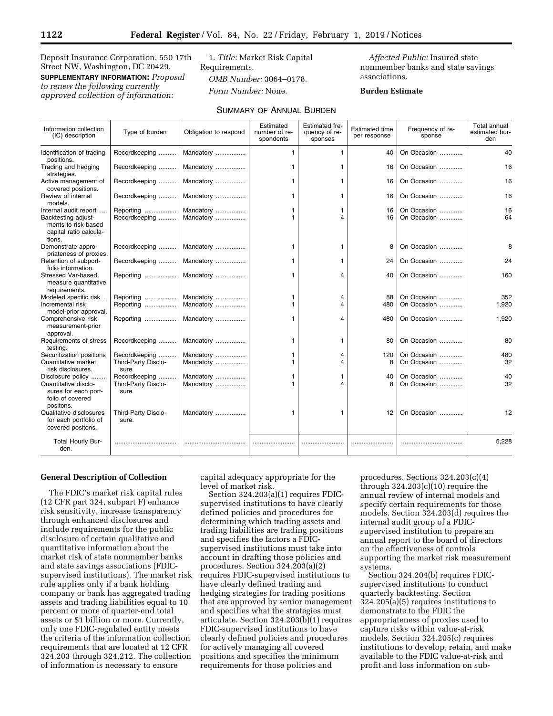Deposit Insurance Corporation, 550 17th Street NW, Washington, DC 20429. **SUPPLEMENTARY INFORMATION:** *Proposal to renew the following currently approved collection of information:* 

1. *Title:* Market Risk Capital Requirements. *OMB Number:* 3064–0178. *Form Number:* None.

*Affected Public:* Insured state nonmember banks and state savings associations.

# **Burden Estimate**

| Information collection<br>(IC) description                                     | Type of burden               | Obligation to respond | Estimated<br>number of re-<br>spondents | <b>Estimated fre-</b><br>quency of re-<br>sponses | <b>Estimated time</b><br>per response | Frequency of re-<br>sponse | Total annual<br>estimated bur-<br>den |
|--------------------------------------------------------------------------------|------------------------------|-----------------------|-----------------------------------------|---------------------------------------------------|---------------------------------------|----------------------------|---------------------------------------|
| Identification of trading<br>positions.                                        | Recordkeeping                | Mandatory             | 1                                       | $\mathbf{1}$                                      | 40                                    | On Occasion                | 40                                    |
| Trading and hedging<br>strategies.                                             | Recordkeeping                | Mandatory             | 1                                       | 1                                                 | 16                                    | On Occasion                | 16                                    |
| Active management of<br>covered positions.                                     | Recordkeeping                | Mandatory             | 1                                       | 1                                                 | 16                                    | On Occasion                | 16                                    |
| Review of internal<br>models.                                                  | Recordkeeping                | Mandatory             | 1                                       | 1                                                 | 16                                    | On Occasion                | 16                                    |
| Internal audit report                                                          | Reporting                    | Mandatory             | 1                                       | 1                                                 | 16                                    | On Occasion                | 16                                    |
| Backtesting adjust-<br>ments to risk-based<br>capital ratio calcula-<br>tions. | Recordkeeping                | Mandatory             | 1                                       | $\mathbf 4$                                       | 16                                    | On Occasion                | 64                                    |
| Demonstrate appro-<br>priateness of proxies.                                   | Recordkeeping                | Mandatory             | 1                                       | 1                                                 | 8                                     | On Occasion                | 8                                     |
| Retention of subport-<br>folio information.                                    | Recordkeeping                | Mandatory             | $\mathbf{1}$                            | 1                                                 | 24                                    | On Occasion                | 24                                    |
| <b>Stressed Var-based</b><br>measure quantitative<br>requirements.             | Reporting                    | Mandatory             | 1                                       | 4                                                 | 40                                    | On Occasion                | 160                                   |
| Modeled specific risk                                                          | Reporting                    | Mandatory             | 1                                       | 4                                                 | 88                                    | On Occasion                | 352                                   |
| Incremental risk<br>model-prior approval.                                      | Reporting                    | Mandatory             | 1                                       | 4                                                 | 480                                   | On Occasion                | 1,920                                 |
| Comprehensive risk<br>measurement-prior<br>approval.                           | Reporting                    | Mandatory             | 1                                       | 4                                                 | 480                                   | On Occasion                | 1,920                                 |
| Requirements of stress<br>testing.                                             | Recordkeeping                | Mandatory             | 1                                       | 1                                                 | 80                                    | On Occasion                | 80                                    |
| Securitization positions                                                       | Recordkeeping                | Mandatory             | 1                                       | 4                                                 | 120                                   | On Occasion                | 480                                   |
| Quantitative market<br>risk disclosures.                                       | Third-Party Disclo-<br>sure. | Mandatory             | 1                                       | 4                                                 | 8                                     | On Occasion                | 32                                    |
| Disclosure policy                                                              | Recordkeeping                | Mandatory             | 1                                       | 1                                                 | 40                                    | On Occasion                | 40                                    |
| Quantitative disclo-<br>sures for each port-<br>folio of covered<br>positons.  | Third-Party Disclo-<br>sure. | Mandatory             | 1                                       | 4                                                 | 8                                     | On Occasion                | 32                                    |
| Qualitative disclosures<br>for each portfolio of<br>covered positons.          | Third-Party Disclo-<br>sure. | Mandatory             | 1                                       | 1                                                 | 12                                    | On Occasion                | 12                                    |
| Total Hourly Bur-<br>den.                                                      |                              |                       |                                         |                                                   |                                       |                            | 5,228                                 |

### **General Description of Collection**

The FDIC's market risk capital rules (12 CFR part 324, subpart F) enhance risk sensitivity, increase transparency through enhanced disclosures and include requirements for the public disclosure of certain qualitative and quantitative information about the market risk of state nonmember banks and state savings associations (FDICsupervised institutions). The market risk rule applies only if a bank holding company or bank has aggregated trading assets and trading liabilities equal to 10 percent or more of quarter-end total assets or \$1 billion or more. Currently, only one FDIC-regulated entity meets the criteria of the information collection requirements that are located at 12 CFR 324.203 through 324.212. The collection of information is necessary to ensure

capital adequacy appropriate for the level of market risk.

Section 324.203(a)(1) requires FDICsupervised institutions to have clearly defined policies and procedures for determining which trading assets and trading liabilities are trading positions and specifies the factors a FDICsupervised institutions must take into account in drafting those policies and procedures. Section 324.203(a)(2) requires FDIC-supervised institutions to have clearly defined trading and hedging strategies for trading positions that are approved by senior management and specifies what the strategies must articulate. Section 324.203(b)(1) requires FDIC-supervised institutions to have clearly defined policies and procedures for actively managing all covered positions and specifies the minimum requirements for those policies and

procedures. Sections 324.203(c)(4) through  $324.203(c)(10)$  require the annual review of internal models and specify certain requirements for those models. Section 324.203(d) requires the internal audit group of a FDICsupervised institution to prepare an annual report to the board of directors on the effectiveness of controls supporting the market risk measurement systems.

Section 324.204(b) requires FDICsupervised institutions to conduct quarterly backtesting. Section 324.205(a)(5) requires institutions to demonstrate to the FDIC the appropriateness of proxies used to capture risks within value-at-risk models. Section 324.205(c) requires institutions to develop, retain, and make available to the FDIC value-at-risk and profit and loss information on sub